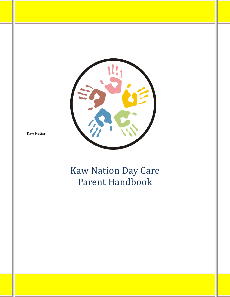

Kaw Nation

# Kaw Nation Day Care Parent Handbook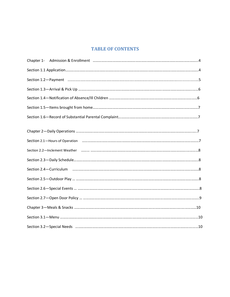# **TABLE OF CONTENTS**

| Section 1.2-Payment manufactured and the contract of the contract of the contract of the contract of the contract of                                                                                                           |  |
|--------------------------------------------------------------------------------------------------------------------------------------------------------------------------------------------------------------------------------|--|
|                                                                                                                                                                                                                                |  |
|                                                                                                                                                                                                                                |  |
|                                                                                                                                                                                                                                |  |
|                                                                                                                                                                                                                                |  |
|                                                                                                                                                                                                                                |  |
| Section 2.1-Hours of Operation manufactured and content and control of Operation manufactured and content and content and content and content and content and content and content and content and content and content and cont |  |
|                                                                                                                                                                                                                                |  |
|                                                                                                                                                                                                                                |  |
|                                                                                                                                                                                                                                |  |
|                                                                                                                                                                                                                                |  |
|                                                                                                                                                                                                                                |  |
|                                                                                                                                                                                                                                |  |
|                                                                                                                                                                                                                                |  |
|                                                                                                                                                                                                                                |  |
| Section 3.2-Special Needs manufactured and the content of the section 3.2-Special Needs manufactured and the content of the content of the section 3.2-Special Needs manufactured and the content of the content of the conten |  |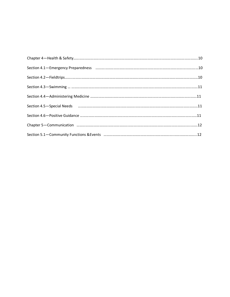| Section 4.5 - Special Needs manufacture and the material contract of the material contract of the manufacture of the special Needs and the manufacture and the special Needs and the manufacture and the special version of th |  |
|--------------------------------------------------------------------------------------------------------------------------------------------------------------------------------------------------------------------------------|--|
|                                                                                                                                                                                                                                |  |
|                                                                                                                                                                                                                                |  |
|                                                                                                                                                                                                                                |  |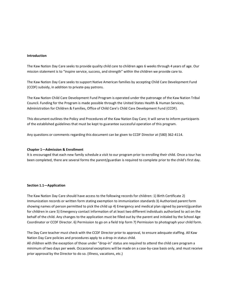#### **Introduction**

The Kaw Nation Day Care seeks to provide quality child care to children ages 6 weeks through 4 years of age. Our mission statement is to "inspire service, success, and strength" within the children we provide care to.

The Kaw Nation Day Care seeks to support Native American families by accepting Child Care Development Fund (CCDF) subsidy, in addition to private-pay patrons.

The Kaw Nation Child Care Development Fund Program is operated under the patronage of the Kaw Nation Tribal Council. Funding for the Program is made possible through the United States Health & Human Services, Administration for Children & Families, Office of Child Care's Child Care Development Fund (CCDF).

This document outlines the Policy and Procedures of the Kaw Nation Day Care; it will serve to inform participants of the established guidelines that must be kept to guarantee successful operation of this program.

Any questions or comments regarding this document can be given to CCDF Director at (580) 362-4114.

#### **Chapter 1—Admission & Enrollment**

It is encouraged that each new family schedule a visit to our program prior to enrolling their child. Once a tour has been completed, there are several forms the parent/guardian is required to complete prior to the child's first day.

#### **Section 1.1—Application**

The Kaw Nation Day Care should have access to the following records for children: 1) Birth Certificate 2) Immunization records or written form stating exemption to immunization standards 3) Authorized parent form showing names of person permitted to pick the child up 4) Emergency and medical plan signed by parent/guardian for children in care 5) Emergency contact information of at least two different individuals authorized to act on the behalf of the child. Any changes to the application must be filled out by the parent and initialed by the School Age Coordinator or CCDF Director. 6) Permission to go on a field trip form 7) Permission to photograph your child form.

The Day Care teacher must check with the CCDF Director prior to approval, to ensure adequate staffing. All Kaw Nation Day Care policies and procedures apply to a drop-in status child.

All children with the exception of those under "drop-in" status are required to attend the child care program a minimum of two days per week. Occasional exceptions will be made on a case-by-case basis only, and must receive prior approval by the Director to do so. (Illness, vacations, etc.)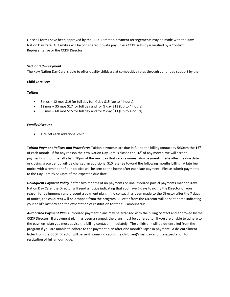Once all forms have been approved by the CCDF Director, payment arrangements may be made with the Kaw Nation Day Care. All families will be considered private pay unless CCDF subsidy is verified by a Contact Representative or the CCDF Director.

#### **Section 1.2—Payment**

The Kaw Nation Day Care is able to offer quality childcare at competitive rates through continued support by the

#### **Child Care Fees**

### *Tuition*

- 6 mos 12 mos \$19 for full day for  $\frac{1}{2}$  day \$15 (up to 4 hours)
- 12 mos 35 mos \$17 for full day and for  $\frac{1}{2}$  day \$13 (Up to 4 hours)
- 36 mos 60 mos \$15 for full day and for ½ day \$11 (Up to 4 hours)

#### *Family Discount*

• 10% off each additional child

*Tuition Payment Policies and Procedures* Tuition payments are due in full to the billing contact by 5:30pm the **16th** of each month. If for any reason the Kaw Nation Day Care is closed the 16<sup>th</sup> of any month, we will accept payments without penalty by 5:30pm of the next day that care resumes. Any payments made after the due date or closing grace period will be charged an additional \$10 late fee toward the following months billing. A late fee notice with a reminder of our policies will be sent to the home after each late payment. Please submit payments to the Day Care by 5:30pm of the expected due date.

*Delinquent Payment Policy* If after two months of no payments or unauthorized partial payments made to Kaw Nation Day Care, the Director will send a notice indicating that you have 7 days to notify the Director of your reason for delinquency and present a payment plan. If no contact has been made to the Director after the 7 days of notice, the child(ren) will be dropped from the program. A letter from the Director will be sent home indicating your child's last day and the expectation of restitution for the full amount due.

*Authorized Payment Plan* Authorized payment plans may be arranged with the billing contact and approved by the CCDF Director. If a payment plan has been arranged, the plans must be adhered to. If you are unable to adhere to the payment plan you must advise the billing contact immediately. The child(ren) will be de-enrolled from the program if you are unable to adhere to the payment plan after one month's lapse in payment. A de-enrollment letter from the CCDF Director will be sent home indicating the child(ren)'s last day and the expectation for restitution of full amount due.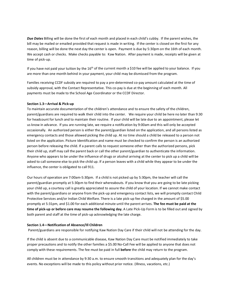*Due Dates* Billing will be done the first of each month and placed in each child's cubby. If the parent wishes, the bill may be mailed or emailed provided that request is made in writing. If the center is closed on the first for any reason, billing will be done the next day the center is open. Payment is due by 5:30pm on the 16th of each month. We accept cash or checks. Make checks payable to: Kaw Nation. After payment is made, receipts will be given at time of pick-up.

If you have not paid your tuition by the  $16<sup>th</sup>$  of the current month a \$10 fee will be applied to your balance. If you are more than one month behind in your payment, your child may be dismissed from the program.

Families receiving CCDF subsidy are required to pay a pre-determined co-pay amount calculated at the time of subsidy approval, with the Contact Representative. This co-pay is due at the beginning of each month. All payments must be made to the School Age Coordinator or the CCDF Director.

#### **Section 1.3—Arrival & Pick-up**

To maintain accurate documentation of the children's attendance and to ensure the safety of the children, parent/guardians are required to walk their child into the center. We require your child be here no later than 9:30 for headcount for lunch and to maintain their routine. If your child will be late due to an appointment, please let us know in advance. If you are running late, we require a notification by 9:00am and this will only be accepted occasionally. An authorized person is either the parent/guardian listed on the application, and all persons listed as emergency contacts and those allowed picking the child up. At no time should a child be released to a person not listed on the application. Picture Identification and name must be checked to confirm the person is an authorized person before releasing the child. If a parent calls to request someone other than the authorized persons, pick their child up, staff may call the parent back or call the other parent/guardian to authenticate the information. Anyone who appears to be under the influence of drugs or alcohol arriving at the center to pick up a child will be asked to call someone else to pick the child up. If a person leaves with a child while they appear to be under the influence, the center is obligated to call 911.

Our hours of operation are 7:00am-5:30pm. If a child is not picked up by 5:30pm, the teacher will call the parent/guardian promptly at 5:30pm to find their whereabouts. If you know that you are going to be late picking your child up, a courtesy call is greatly appreciated to assure the child of your location. If we cannot make contact with the parent/guardians or anyone from the pick-up and emergency contact lists, we will promptly contact Child Protective Services and/or Indian Child Welfare. There is a late pick-up fee charged in the amount of \$5.00 promptly at 5:31pm, and \$1.00 for each additional minute until the parent arrives. **The fee must be paid at the time of pick-up or before care may resume the following day.** A Late Pick-Up Form is to be filled out and signed by both parent and staff at the time of pick-up acknowledging the late charge.

#### **Section 1.4—Notification of Absence/Ill Children**

Parent/guardians are responsible for notifying Kaw Nation Day Care if their child will not be attending for the day.

If the child is absent due to a communicable disease, Kaw Nation Day Care must be notified immediately to take proper precautions and to notify the other families a \$5.00 No-Call Fee will be applied to anyone that does not comply with these requirements. The fee must be paid in full **before** the child may return to the program.

All children must be in attendance by 9:30 a.m. to ensure smooth transitions and adequately plan for the day's events. No exceptions will be made to this policy without prior notice. (Illness, vacations, etc.)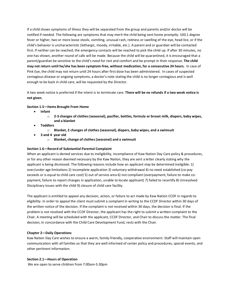If a child shows symptoms of illness they will be separated from the group and parents and/or doctor will be notified if needed. The following are symptoms that may merit the child being sent home promptly: 100.1 degree fever or higher, two or more loose stools, vomiting, unusual rash, redness or swelling of the eye, head lice, or if the child's behavior is uncharacteristic (lethargic, moody, irritable, etc.). A parent and or guardian will be contacted first. If neither can be reached, the emergency contacts will be reached to pick the child up. If after 30 minutes, no one has shown, another round of calls will be made. Because the child will be quarantined, it is encouraged that a parent/guardian be sensitive to the child's need for rest and comfort and be prompt in their response. **The child may not return until he/she has been symptom-free, without medication, for a consecutive 24 hours.** In case of Pink Eye, the child may not return until 24 hours after first dose has been administered. In cases of suspected contagious disease or ongoing symptoms, a doctor's note stating the child is no longer contagious and is well enough to be back in child care, will be requested by the Director.

A two week notice is preferred if the intent is to terminate care. **There will be no refunds if a two week notice is not given.** 

# **Section 1.5—Items Brought From Home**

- **Infant**
	- o **2-3 changes of clothes (seasonal), pacifier, bottles, formula or breast milk, diapers, baby wipes, and a blanket**
- **Toddlers**
	- o **Blanket, 2 changes of clothes (seasonal), diapers, baby wipes, and a swimsuit**
- **3 and 4 year old**
	- o **Blanket, change of clothes (seasonal) and a swimsuit**

#### **Section 1.6—Record of Substantial Parental Complaint**

When an applicant is denied services due to ineligibility, incompliance of Kaw Nation Day Care policy & procedures, or for any other reason deemed necessary by the Kaw Nation, they are sent a letter clearly stating why the applicant is being dismissed. The following reasons include how an applicant may be determined ineligible: 1) over/under age limitations 2) incomplete application 3) voluntary withdrawal 4) no need established (co-pay exceeds or is equal to child care cost) 5) out of service area 6) not compliant (overpayment, failure to make copayment, failure to report changes in application, unable to locate applicant) 7) failed to recertify 8) Unresolved Disciplinary Issues with the child 9) closure of child care facility.

The applicant is entitled to appeal any decision, action, or failure to act made by Kaw Nation CCDF in regards to eligibility. In order to appeal the client must submit a complaint in writing to the CCDF Director within 30 days of the written notice of the decision. If the complaint is not received within 30 days, the decision is final. If the problem is not resolved with the CCDF Director, the applicant has the right to submit a written complaint to the Chair. A meeting will be scheduled with the applicant, CCDF Director, and Chair to discuss the matter. The final decision, in concordance with the Child Care Development Fund, rests with the Chair.

#### **Chapter 2—Daily Operations**

Kaw Nation Day Care wishes to ensure a warm, family-friendly, cooperative environment. Staff will maintain open communication with all families so that they are well informed of center policy and procedures, special events, and other pertinent information.

#### **Section 2.1—Hours of Operation**

We are open to serve children from 7:00am-5:30pm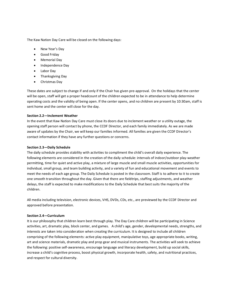The Kaw Nation Day Care will be closed on the following days:

- New Year's Day
- Good Friday
- Memorial Day
- Independence Day
- Labor Day
- Thanksgiving Day
- Christmas Day

These dates are subject to change if and only if the Chair has given pre-approval. On the holidays that the center will be open, staff will get a proper headcount of the children expected to be in attendance to help determine operating costs and the validity of being open. If the center opens, and no children are present by 10:30am, staff is sent home and the center will close for the day.

# **Section 2.2—Inclement Weather**

In the event that Kaw Nation Day Care must close its doors due to inclement weather or a utility outage, the opening staff person will contact by phone, the CCDF Director, and each family immediately. As we are made aware of updates by the Chair, we will keep our families informed. All families are given the CCDF Director's contact information if they have any further questions or concerns.

# **Section 2.3—Daily Schedule**

The daily schedule provides stability with activities to compliment the child's overall daily experience. The following elements are considered in the creation of the daily schedule: intervals of indoor/outdoor play-weather permitting, time for quiet and active play, a mixture of large muscle and small muscle activities, opportunities for individual, small group, and team building activity, and a variety of fun and educational movement and events to meet the needs of each age group. The Daily Schedule is posted in the classroom. Staff is to adhere to it to create one smooth transition throughout the day. Given that there are fieldtrips, staffing adjustments, and weather delays, the staff is expected to make modifications to the Daily Schedule that best suits the majority of the children.

All media including television, electronic devices, VHS, DVDs, CDs, etc., are previewed by the CCDF Director and approved before presentation.

#### **Section 2.4—Curriculum**

It is our philosophy that children learn best through play. The Day Care children will be participating in Science activities, art, dramatic play, block center, and games. A child's age, gender, developmental needs, strengths, and interests are taken into consideration when creating the curriculum. It is designed to include all children comprising of the following elements: active play equipment, manipulative toys, age appropriate books, writing, art and science materials, dramatic play and prop gear and musical instruments. The activities will seek to achieve the following: positive self-awareness, encourage language and literacy development, build up social skills, increase a child's cognitive process, boost physical growth, incorporate health, safety, and nutritional practices, and respect for cultural diversity.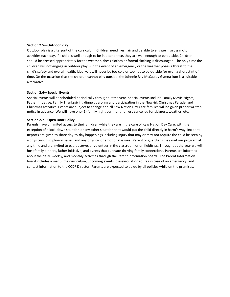#### **Section 2.5—Outdoor Play**

Outdoor play is a vital part of the curriculum. Children need fresh air and be able to engage in gross motor activities each day. If a child is well enough to be in attendance, they are well enough to be outside. Children should be dressed appropriately for the weather, dress clothes or formal clothing is discouraged. The only time the children will not engage in outdoor play is in the event of an emergency or the weather poses a threat to the child's safety and overall health. Ideally, it will never be too cold or too hot to be outside for even a short stint of time. On the occasion that the children cannot play outside, the Johnnie Ray McCauley Gymnasium is a suitable alternative.

# **Section 2.6—Special Events**

Special events will be scheduled periodically throughout the year. Special events include Family Movie Nights, Father Initiative, Family Thanksgiving dinner, caroling and participation in the Newkirk Christmas Parade, and Christmas activities. Events are subject to change and all Kaw Nation Day Care families will be given proper written notice in advance. We will have one (1) family night per month unless cancelled for sickness, weather, etc.

#### **Section 2.7**—**Open Door Policy**

Parents have unlimited access to their children while they are in the care of Kaw Nation Day Care, with the exception of a lock-down situation or any other situation that would put the child directly in harm's way. Incident Reports are given to share day-to-day happenings including injury that may or may not require the child be seen by a physician, disciplinary issues, and any physical or emotional issues. Parent or guardians may visit our program at any time and are invited to eat, observe, or volunteer in the classroom or on fieldtrips. Throughout the year we will host family dinners, father initiative, and events that cultivate thriving family connections. Parents are informed about the daily, weekly, and monthly activities through the Parent information board. The Parent Information board includes a menu, the curriculum, upcoming events, the evacuation routes in case of an emergency, and contact information to the CCDF Director. Parents are expected to abide by all policies while on the premises.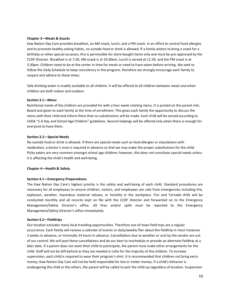#### **Chapter 3—Meals & Snacks**

Kaw Nation Day Care provides breakfast, an AM snack, lunch, and a PM snack. In an effort to control food allergies and to promote healthy eating habits, no outside food or drink is allowed. If a family wishes to bring a snack for a birthday or other special occasion, this is permissible for store-bought items only and must be pre-approved by the CCDF Director. Breakfast is at 7:30, AM snack is at 10:30am, Lunch is served at 11:30, and the PM snack is at 2:30pm. Children need to be at the center in time for meals or need to have eaten before arriving. We seek to follow the Daily Schedule to keep consistency in the program, therefore we strongly encourage each family to respect and adhere to these times.

Safe drinking water is readily available to all children. It will be offered to all children between meals and when children are both indoor and outdoor.

#### **Section 3.1—Menu**

Nutritional needs of the children are provided for with a four-week rotating menu. It is posted on the parent info. Board and given to each family at the time of enrollment. This gives each family the opportunity to discuss the menu with their child and inform them that no substitutions will be made. Each child will be served according to USDA "5 A Day and School Age Children" guidelines. Second-helpings will be offered only when there is enough for everyone to have them.

# **Section 3.2—Special Needs**

No outside food or drink is allowed. If there are special needs such as food allergies or stipulations with medication, a doctor's note is required in advance so that we may make the proper substitutions for the child. Picky eaters are very common amongst school age children; however, this does not constitute special needs unless it is affecting the child's health and well-being.

#### **Chapter 4—Health & Safety**

#### **Section 4.1—Emergency Preparedness**

The Kaw Nation Day Care's highest priority is the safety and well-being of each child. Standard procedures are necessary for all employees to ensure children, visitors, and employees are safe from emergencies including fire, explosion, weather, hazardous material release, or hostility in the workplace. Fire and Tornado drills will be conducted monthly and all records kept on file with the CCDF Director and forwarded on to the Emergency Management/Safety Director's office. All fires and/or spills must be reported to the Emergency Management/Safety Director's office immediately.

#### **Section 4.2—Fieldtrips**

Our location excludes many local traveling opportunities. Therefore out-of-town field trips are a regular occurrence. Each family will receive a calendar of events or daily/weekly flier about the fieldtrip in most instances 2 weeks in advance, or minimally 24 hours in advance. Cancellations due to weather or acts by the vendor are out of our control. We will post these cancellations and do our best to reschedule or provide an alternate fieldtrip at a later date. If a parent does not want their child to participate, the parent must make other arrangements for the child. Staff will not be left behind as they are needed in ratio for the majority of the children. To increase supervision, each child is required to wear their program t-shirt. It is recommended that children not bring extra money, Kaw Nation Day Care will not be held responsible for lost or stolen money. If a child's behavior is endangering the child or the others, the parent will be called to pick the child up regardless of location. Suspension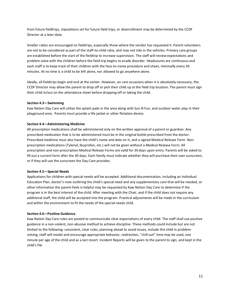from future fieldtrips, stipulations set for future field trips, or disenrollment may be determined by the CCDF Director at a later date.

Smaller ratios are encouraged on fieldtrips, especially those where the vendor has requested it. Parent volunteers are not to be considered as part of the staff-to-child ratio, and may not ride in the vehicles. Primary care groups are established before the start of the fieldtrip to increase supervision. The staff will review expectations and problem solve with the children before the field trip begins to evade disorder. Headcounts are continuous and each staff is to keep track of their children with the face-to-name procedure and sheet, minimally every 30 minutes. At no time is a child to be left alone, nor allowed to go anywhere alone.

Ideally, all fieldtrips begin and end at the center. However, on rare occasions when it is absolutely necessary, the CCDF Director may allow the parent to drop off or pick their child up at the field trip location. The parent must sign their child in/out on the attendance sheet before dropping off or taking the child.

#### **Section 4.3—Swimming**

Kaw Nation Day Care will utilize the splash pads in the area along with Sun N Fun, and outdoor water play in their playground area. Parents must provide a life jacket or other flotation device.

#### **Section 4.4—Administering Medicine**

All prescription medications shall be administered only on the written approval of a parent or guardian. Any prescribed medication that is to be administered must be in the original bottle prescribed from the doctor. Prescribed medicine must also have the child's name and date on it, and a signed Medical Release Form. Nonprescription medications (Tylenol, Ibuprofen, etc.) will not be given without a Medical Release Form. All prescription and non-prescription Medical Release Forms are valid for 30 days upon entry. Parents will be asked to fill out a current form after the 30 days. Each family must indicate whether they will purchase their own sunscreen, or if they will use the sunscreen the Day Care provides.

#### **Section 4.5—Special Needs**

Applications for children with special needs will be accepted. Additional documentation, including an Individual Education Plan, doctor's note outlining the child's special need and any supplementary care that will be needed, or other information the parent feels is helpful may be requested by Kaw Nation Day Care to determine if the program is in the best interest of the child. After meeting with the Chair, and if the child does not require any additional staff, the child will be accepted into the program. Practical adjustments will be made in the curriculum and within the environment to fit the needs of the special needs child.

#### **Section 4.6—Positive Guidance**

Kaw Nation Day Care rules are posted to communicate clear expectations of every child. The staff shall use positive guidance in a non-violent, non-abusive method to achieve discipline. These methods could include but are not limited to the following: consistent, clear rules, planning ahead to avoid issues, include the child in problemsolving, staff will model and encourage appropriate behavior, redirection, "chill out" time may be used, one minute per age of the child and as a last resort. Incident Reports will be given to the parent to sign, and kept in the child's file